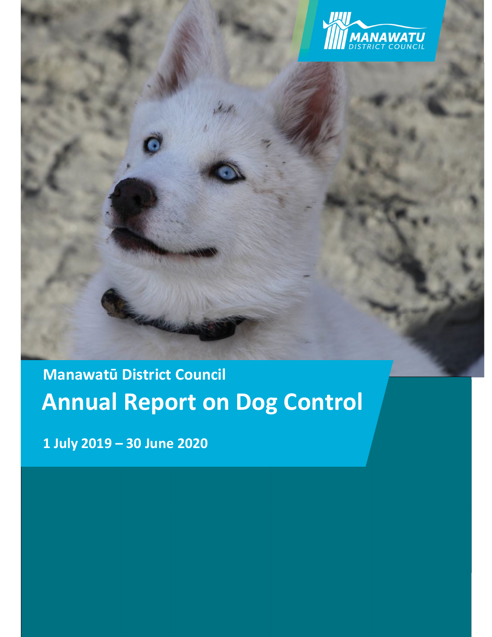

# **1 Manawatū District Council Annual Report on Dog Control**

**1 July 2019 – 30 June 2020**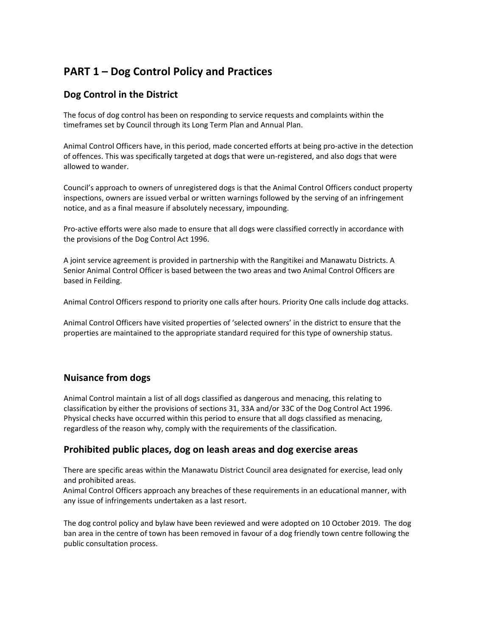# **PART 1 – Dog Control Policy and Practices**

# **Dog Control in the District**

The focus of dog control has been on responding to service requests and complaints within the timeframes set by Council through its Long Term Plan and Annual Plan.

Animal Control Officers have, in this period, made concerted efforts at being pro‐active in the detection of offences. This was specifically targeted at dogs that were un‐registered, and also dogs that were allowed to wander.

Council's approach to owners of unregistered dogs is that the Animal Control Officers conduct property inspections, owners are issued verbal or written warnings followed by the serving of an infringement notice, and as a final measure if absolutely necessary, impounding.

Pro‐active efforts were also made to ensure that all dogs were classified correctly in accordance with the provisions of the Dog Control Act 1996.

A joint service agreement is provided in partnership with the Rangitikei and Manawatu Districts. A Senior Animal Control Officer is based between the two areas and two Animal Control Officers are based in Feilding.

Animal Control Officers respond to priority one calls after hours. Priority One calls include dog attacks.

Animal Control Officers have visited properties of 'selected owners' in the district to ensure that the properties are maintained to the appropriate standard required for this type of ownership status.

## **Nuisance from dogs**

Animal Control maintain a list of all dogs classified as dangerous and menacing, this relating to classification by either the provisions of sections 31, 33A and/or 33C of the Dog Control Act 1996. Physical checks have occurred within this period to ensure that all dogs classified as menacing, regardless of the reason why, comply with the requirements of the classification.

#### **Prohibited public places, dog on leash areas and dog exercise areas**

There are specific areas within the Manawatu District Council area designated for exercise, lead only and prohibited areas.

Animal Control Officers approach any breaches of these requirements in an educational manner, with any issue of infringements undertaken as a last resort.

The dog control policy and bylaw have been reviewed and were adopted on 10 October 2019. The dog ban area in the centre of town has been removed in favour of a dog friendly town centre following the public consultation process.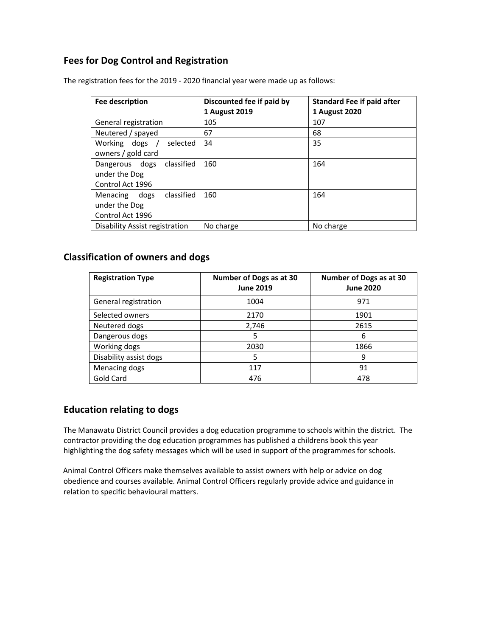# **Fees for Dog Control and Registration**

| Fee description                | Discounted fee if paid by | <b>Standard Fee if paid after</b> |  |
|--------------------------------|---------------------------|-----------------------------------|--|
|                                | 1 August 2019             | <b>1 August 2020</b>              |  |
| General registration           | 105                       | 107                               |  |
| Neutered / spayed              | 67                        | 68                                |  |
| Working dogs<br>selected       | 34                        | 35                                |  |
| owners / gold card             |                           |                                   |  |
| Dangerous dogs classified      | 160                       | 164                               |  |
| under the Dog                  |                           |                                   |  |
| Control Act 1996               |                           |                                   |  |
| Menacing dogs classified       | 160                       | 164                               |  |
| under the Dog                  |                           |                                   |  |
| Control Act 1996               |                           |                                   |  |
| Disability Assist registration | No charge                 | No charge                         |  |

The registration fees for the 2019 ‐ 2020 financial year were made up as follows:

## **Classification of owners and dogs**

| <b>Registration Type</b> | Number of Dogs as at 30<br><b>June 2019</b> | Number of Dogs as at 30<br><b>June 2020</b> |
|--------------------------|---------------------------------------------|---------------------------------------------|
| General registration     | 1004                                        | 971                                         |
| Selected owners          | 2170                                        | 1901                                        |
| Neutered dogs            | 2,746                                       | 2615                                        |
| Dangerous dogs           | 5                                           | 6                                           |
| Working dogs             | 2030                                        | 1866                                        |
| Disability assist dogs   | 5                                           | 9                                           |
| Menacing dogs            | 117                                         | 91                                          |
| Gold Card                | 476                                         | 478                                         |

# **Education relating to dogs**

The Manawatu District Council provides a dog education programme to schools within the district. The contractor providing the dog education programmes has published a childrens book this year highlighting the dog safety messages which will be used in support of the programmes for schools.

Animal Control Officers make themselves available to assist owners with help or advice on dog obedience and courses available. Animal Control Officers regularly provide advice and guidance in relation to specific behavioural matters.